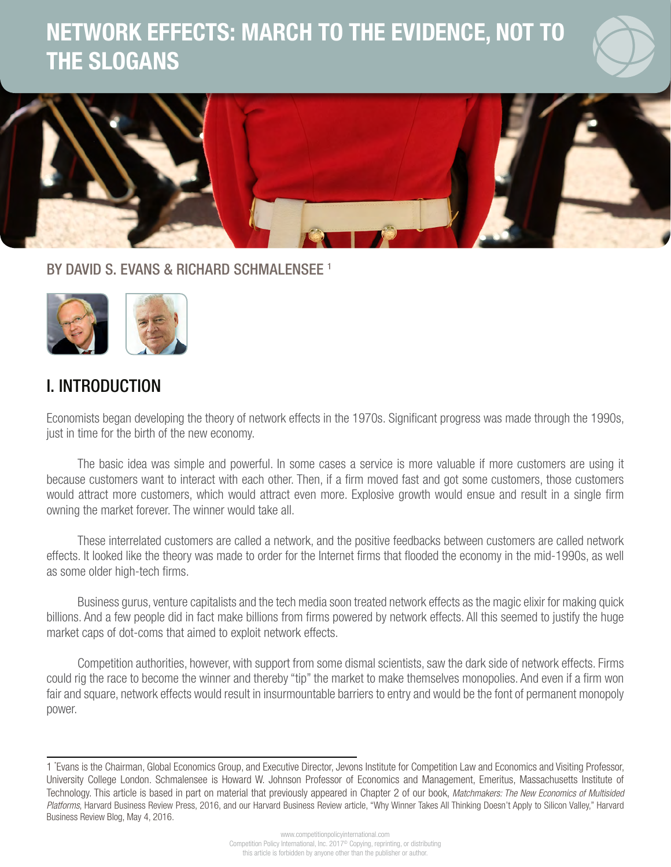# NETWORK EFFECTS: MARCH TO THE EVIDENCE, NOT TO THE SLOGANS



1

BY DAVID S. EVANS & RICHARD SCHMALENSEE<sup>1</sup>



### I. INTRODUCTION

Economists began developing the theory of network effects in the 1970s. Significant progress was made through the 1990s, just in time for the birth of the new economy.

The basic idea was simple and powerful. In some cases a service is more valuable if more customers are using it because customers want to interact with each other. Then, if a firm moved fast and got some customers, those customers would attract more customers, which would attract even more. Explosive growth would ensue and result in a single firm owning the market forever. The winner would take all.

These interrelated customers are called a network, and the positive feedbacks between customers are called network effects. It looked like the theory was made to order for the Internet firms that flooded the economy in the mid-1990s, as well as some older high-tech firms.

Business gurus, venture capitalists and the tech media soon treated network effects as the magic elixir for making quick billions. And a few people did in fact make billions from firms powered by network effects. All this seemed to justify the huge market caps of dot-coms that aimed to exploit network effects.

Competition authorities, however, with support from some dismal scientists, saw the dark side of network effects. Firms could rig the race to become the winner and thereby "tip" the market to make themselves monopolies. And even if a firm won fair and square, network effects would result in insurmountable barriers to entry and would be the font of permanent monopoly power.

<sup>1 \*</sup> Evans is the Chairman, Global Economics Group, and Executive Director, Jevons Institute for Competition Law and Economics and Visiting Professor, University College London. Schmalensee is Howard W. Johnson Professor of Economics and Management, Emeritus, Massachusetts Institute of Technology. This article is based in part on material that previously appeared in Chapter 2 of our book, *Matchmakers: The New Economics of Multisided Platforms*, Harvard Business Review Press, 2016, and our Harvard Business Review article, ["Why Winner Takes All Thinking Doesn't Apply to Silicon Valley," Harvard](https://hbr.org/2016/05/why-winner-takes-all-thinking-doesnt-apply-to-silicon-valley) [Business Review Blog, May 4, 2016.](https://hbr.org/2016/05/why-winner-takes-all-thinking-doesnt-apply-to-silicon-valley)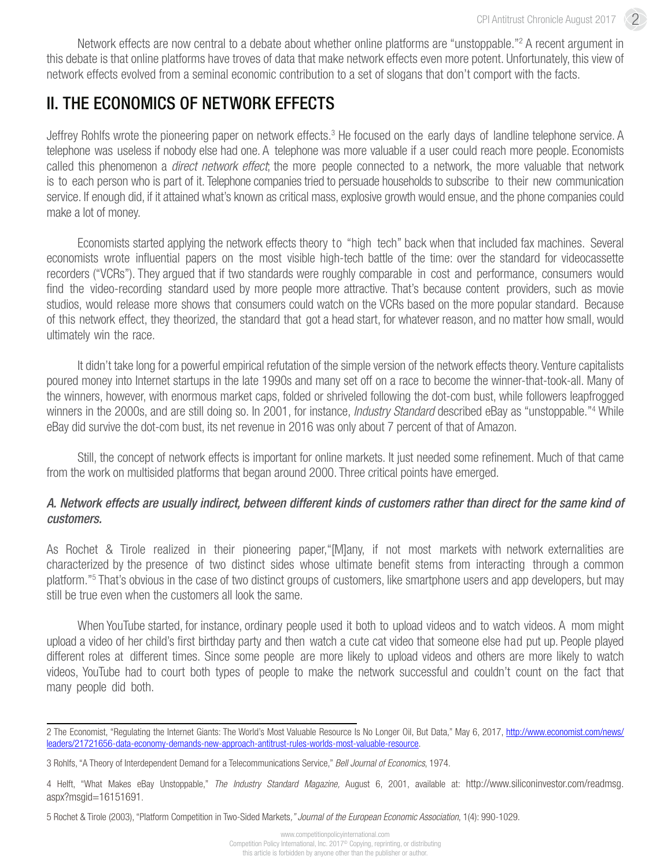Network effects are now central to a debate about whether online platforms are "unstoppable."<sup>2</sup> A recent argument in this debate is that online platforms have troves of data that make network effects even more potent. Unfortunately, this view of network effects evolved from a seminal economic contribution to a set of slogans that don't comport with the facts.

# II. THE ECONOMICS OF NETWORK EFFECTS

Jeffrey Rohlfs wrote the pioneering paper on network effects.<sup>3</sup> He focused on the early days of landline telephone service. A telephone was useless if nobody else had one. A telephone was more valuable if a user could reach more people. Economists called this phenomenon a *direct network effect*; the more people connected to a network, the more valuable that network is to each person who is part of it. Telephone companies tried to persuade households to subscribe to their new communication service. If enough did, if it attained what's known as critical mass, explosive growth would ensue, and the phone companies could make a lot of money.

Economists started applying the network effects theory to "high tech" back when that included fax machines. Several economists wrote influential papers on the most visible high-tech battle of the time: over the standard for videocassette recorders ("VCRs"). They argued that if two standards were roughly comparable in cost and performance, consumers would find the video-recording standard used by more people more attractive. That's because content providers, such as movie studios, would release more shows that consumers could watch on the VCRs based on the more popular standard. Because of this network effect, they theorized, the standard that got a head start, for whatever reason, and no matter how small, would ultimately win the race.

It didn't take long for a powerful empirical refutation of the simple version of the network effects theory. Venture capitalists poured money into Internet startups in the late 1990s and many set off on a race to become the winner-that-took-all. Many of the winners, however, with enormous market caps, folded or shriveled following the dot-com bust, while followers leapfrogged winners in the 2000s, and are still doing so. In 2001, for instance, *Industry Standard* described eBay as "unstoppable."4 While eBay did survive the dot-com bust, its net revenue in 2016 was only about 7 percent of that of Amazon.

Still, the concept of network effects is important for online markets. It just needed some refinement. Much of that came from the work on multisided platforms that began around 2000. Three critical points have emerged.

#### *A. Network effects are usually indirect, between different kinds of customers rather than direct for the same kind of customers.*

As Rochet & Tirole realized in their pioneering paper,"[M]any, if not most markets with network externalities are characterized by the presence of two distinct sides whose ultimate benefit stems from interacting through a common platform."<sup>5</sup> That's obvious in the case of two distinct groups of customers, like smartphone users and app developers, but may still be true even when the customers all look the same.

When YouTube started, for instance, ordinary people used it both to upload videos and to watch videos. A mom might upload a video of her child's first birthday party and then watch a cute cat video that someone else had put up. People played different roles at different times. Since some people are more likely to upload videos and others are more likely to watch videos, YouTube had to court both types of people to make the network successful and couldn't count on the fact that many people did both.

<sup>2</sup> The Economist, "Regulating the Internet Giants: The World's Most Valuable Resource Is No Longer Oil, But Data," May 6, 2017, [http://www.economist.com/news/](http://www.economist.com/news/leaders/21721656-data-economy-demands-new-approach-antitrust-rules-worlds-most-valuable-resource) [leaders/21721656-data-economy-demands-new-approach-antitrust-rules-worlds-most-valuable-resource](http://www.economist.com/news/leaders/21721656-data-economy-demands-new-approach-antitrust-rules-worlds-most-valuable-resource).

<sup>3</sup> Rohlfs, "A Theory of Interdependent Demand for a Telecommunications Service," *Bell Journal of Economics*, 1974.

<sup>4</sup> Helft, "What Makes eBay Unstoppable," *The Industry Standard Magazine,* August 6, 2001, available at: [http://www.siliconinvestor.com/readmsg.](http://www.siliconinvestor.com/readmsg.aspx?msgid=16151691) [aspx?msgid=16151691.](http://www.siliconinvestor.com/readmsg.aspx?msgid=16151691)

<sup>5</sup> Rochet & Tirole (2003), "Platform Competition in Two-Sided Markets*," Journal of the European Economic Association*, 1(4): 990-1029.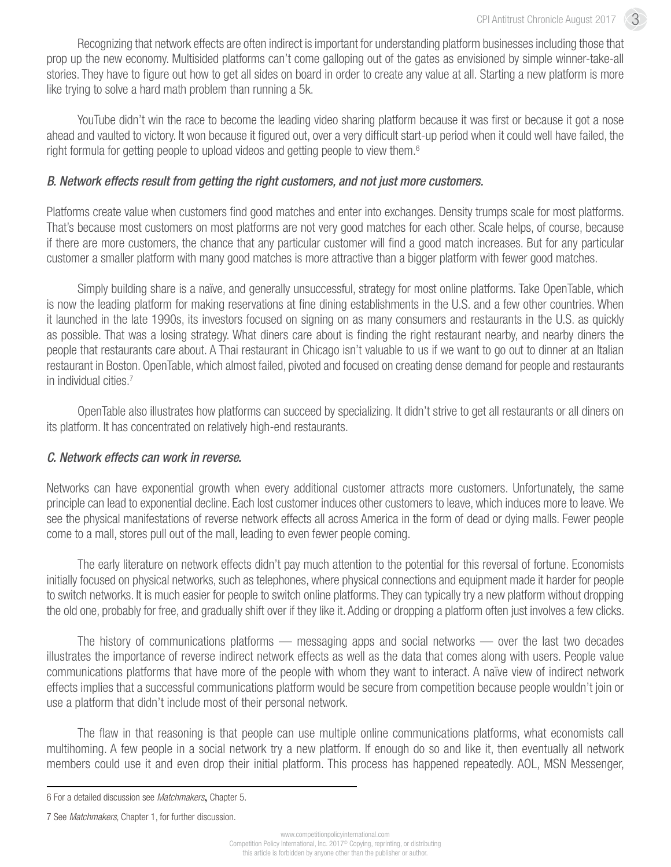Recognizing that network effects are often indirect is important for understanding platform businesses including those that prop up the new economy. Multisided platforms can't come galloping out of the gates as envisioned by simple winner-take-all stories. They have to figure out how to get all sides on board in order to create any value at all. Starting a new platform is more like trying to solve a hard math problem than running a 5k.

YouTube didn't win the race to become the leading video sharing platform because it was first or because it got a nose ahead and vaulted to victory. It won because it figured out, over a very difficult start-up period when it could well have failed, the right formula for getting people to upload videos and getting people to view them.<sup>6</sup>

#### *B. Network effects result from getting the right customers, and not just more customers.*

Platforms create value when customers find good matches and enter into exchanges. Density trumps scale for most platforms. That's because most customers on most platforms are not very good matches for each other. Scale helps, of course, because if there are more customers, the chance that any particular customer will find a good match increases. But for any particular customer a smaller platform with many good matches is more attractive than a bigger platform with fewer good matches.

Simply building share is a naïve, and generally unsuccessful, strategy for most online platforms. Take OpenTable, which is now the leading platform for making reservations at fine dining establishments in the U.S. and a few other countries. When it launched in the late 1990s, its investors focused on signing on as many consumers and restaurants in the U.S. as quickly as possible. That was a losing strategy. What diners care about is finding the right restaurant nearby, and nearby diners the people that restaurants care about. A Thai restaurant in Chicago isn't valuable to us if we want to go out to dinner at an Italian restaurant in Boston. OpenTable, which almost failed, pivoted and focused on creating dense demand for people and restaurants in individual cities.<sup>7</sup>

OpenTable also illustrates how platforms can succeed by specializing. It didn't strive to get all restaurants or all diners on its platform. It has concentrated on relatively high-end restaurants.

#### *C. Network effects can work in reverse.*

Networks can have exponential growth when every additional customer attracts more customers. Unfortunately, the same principle can lead to exponential decline. Each lost customer induces other customers to leave, which induces more to leave. We see the physical manifestations of reverse network effects all across America in the form of dead or dying malls. Fewer people come to a mall, stores pull out of the mall, leading to even fewer people coming.

The early literature on network effects didn't pay much attention to the potential for this reversal of fortune. Economists initially focused on physical networks, such as telephones, where physical connections and equipment made it harder for people to switch networks. It is much easier for people to switch online platforms. They can typically try a new platform without dropping the old one, probably for free, and gradually shift over if they like it. Adding or dropping a platform often just involves a few clicks.

The history of communications platforms — messaging apps and social networks — over the last two decades illustrates the importance of reverse indirect network effects as well as the data that comes along with users. People value communications platforms that have more of the people with whom they want to interact. A naïve view of indirect network effects implies that a successful communications platform would be secure from competition because people wouldn't join or use a platform that didn't include most of their personal network.

The flaw in that reasoning is that people can use multiple online communications platforms, what economists call multihoming. A few people in a social network try a new platform. If enough do so and like it, then eventually all network members could use it and even drop their initial platform. This process has happened repeatedly. AOL, MSN Messenger,

<sup>6</sup> For a detailed discussion see *Matchmakers*, Chapter 5.

<sup>7</sup> See *Matchmakers*, Chapter 1, for further discussion.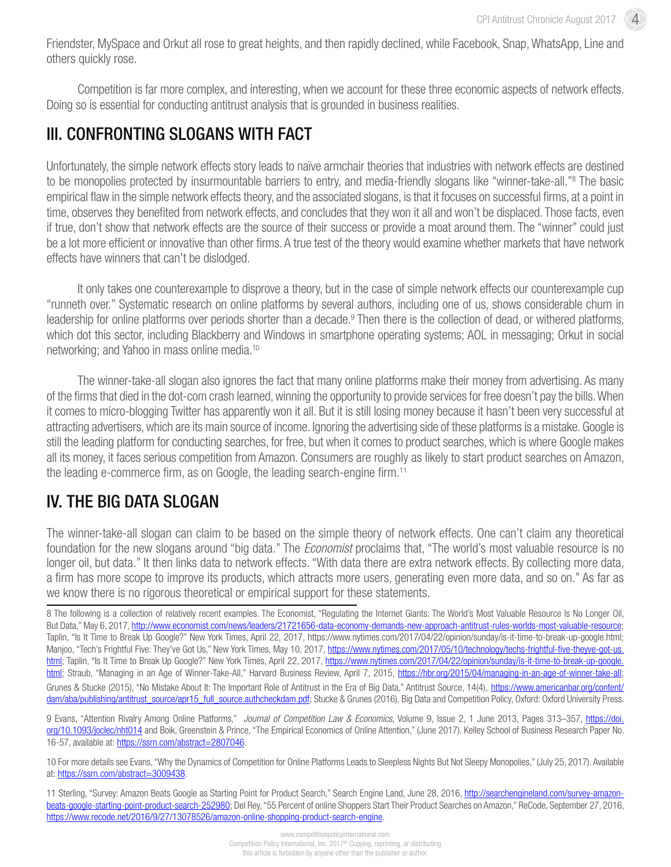4

Friendster, MySpace and Orkut all rose to great heights, and then rapidly declined, while Facebook, Snap, WhatsApp, Line and others quickly rose.

Competition is far more complex, and interesting, when we account for these three economic aspects of network effects. Doing so is essential for conducting antitrust analysis that is grounded in business realities.

## III. CONFRONTING SLOGANS WITH FACT

Unfortunately, the simple network effects story leads to naïve armchair theories that industries with network effects are destined to be monopolies protected by insurmountable barriers to entry, and media-friendly slogans like "winner-take-all."<sup>8</sup> The basic empirical flaw in the simple network effects theory, and the associated slogans, is that it focuses on successful firms, at a point in time, observes they benefited from network effects, and concludes that they won it all and won't be displaced. Those facts, even if true, don't show that network effects are the source of their success or provide a moat around them. The "winner" could just be a lot more efficient or innovative than other firms. A true test of the theory would examine whether markets that have network effects have winners that can't be dislodged.

It only takes one counterexample to disprove a theory, but in the case of simple network effects our counterexample cup "runneth over." Systematic research on online platforms by several authors, including one of us, shows considerable churn in leadership for online platforms over periods shorter than a decade.<sup>9</sup> Then there is the collection of dead, or withered platforms, which dot this sector, including Blackberry and Windows in smartphone operating systems; AOL in messaging; Orkut in social networking; and Yahoo in mass online media.10

The winner-take-all slogan also ignores the fact that many online platforms make their money from advertising. As many of the firms that died in the dot-com crash learned, winning the opportunity to provide services for free doesn't pay the bills. When it comes to micro-blogging Twitter has apparently won it all. But it is still losing money because it hasn't been very successful at attracting advertisers, which are its main source of income. Ignoring the advertising side of these platforms is a mistake. Google is still the leading platform for conducting searches, for free, but when it comes to product searches, which is where Google makes all its money, it faces serious competition from Amazon. Consumers are roughly as likely to start product searches on Amazon, the leading e-commerce firm, as on Google, the leading search-engine firm.11

# IV. THE BIG DATA SLOGAN

The winner-take-all slogan can claim to be based on the simple theory of network effects. One can't claim any theoretical foundation for the new slogans around "big data." The *Economist* proclaims that, "The world's most valuable resource is no longer oil, but data." It then links data to network effects. "With data there are extra network effects. By collecting more data, a firm has more scope to improve its products, which attracts more users, generating even more data, and so on." As far as we know there is no rigorous theoretical or empirical support for these statements.

8 The following is a collection of relatively recent examples. The Economist, "Regulating the Internet Giants: The World's Most Valuable Resource Is No Longer Oil, But Data," May 6, 2017,<http://www.economist.com/news/leaders/21721656-data-economy-demands-new-approach-antitrust-rules-worlds-most-valuable-resource>; Taplin, "Is It Time to Break Up Google?" New York Times, April 22, 2017, <https://www.nytimes.com/2017/04/22/opinion/sunday/is-it-time-to-break-up-google.html>; Manjoo, "Tech's Frightful Five: They've Got Us," New York Times, May 10, 2017, [https://www.nytimes.com/2017/05/10/technology/techs-frightful-five-theyve-got-us.](https://www.nytimes.com/2017/05/10/technology/techs-frightful-five-theyve-got-us.html) [html;](https://www.nytimes.com/2017/05/10/technology/techs-frightful-five-theyve-got-us.html) Taplin, "Is It Time to Break Up Google?" New York Times, April 22, 2017, [https://www.nytimes.com/2017/04/22/opinion/sunday/is-it-time-to-break-up-google.](https://www.nytimes.com/2017/04/22/opinion/sunday/is-it-time-to-break-up-google.html) [html;](https://www.nytimes.com/2017/04/22/opinion/sunday/is-it-time-to-break-up-google.html) Straub, "Managing in an Age of Winner-Take-All," Harvard Business Review, April 7, 2015, <https://hbr.org/2015/04/managing-in-an-age-of-winner-take-all>; Grunes & Stucke (2015), "No Mistake About It: The Important Role of Antitrust in the Era of Big Data," Antitrust Source, 14(4), [https://www.americanbar.org/content/](https://www.americanbar.org/content/dam/aba/publishing/antitrust_source/apr15_full_source.authcheckdam.pdf) [dam/aba/publishing/antitrust\\_source/apr15\\_full\\_source.authcheckdam.pdf;](https://www.americanbar.org/content/dam/aba/publishing/antitrust_source/apr15_full_source.authcheckdam.pdf) Stucke & Grunes (2016), Big Data and Competition Policy, Oxford: Oxford University Press.

9 Evans, "Attention Rivalry Among Online Platforms," *Journal of Competition Law & Economics*, Volume 9, Issue 2, 1 June 2013, Pages 313–357, [https://doi.](https://doi.org/10.1093/joclec/nht014) [org/10.1093/joclec/nht014](https://doi.org/10.1093/joclec/nht014) and Boik, Greenstein & Prince, "The Empirical Economics of Online Attention," (June 2017). Kelley School of Business Research Paper No. 16-57, available at: <https://ssrn.com/abstract=2807046>.

10 For more details see Evans, "Why the Dynamics of Competition for Online Platforms Leads to Sleepless Nights But Not Sleepy Monopolies," (July 25, 2017). Available at: [https://ssrn.com/abstract=3009438.](https://ssrn.com/abstract=3009438)

<sup>11</sup> Sterling, "Survey: Amazon Beats Google as Starting Point for Product Search," Search Engine Land, June 28, 2016, [http://searchengineland.com/survey-amazon](http://searchengineland.com/survey-amazon-beats-google-starting-point-product-search-252980)[beats-google-starting-point-product-search-252980;](http://searchengineland.com/survey-amazon-beats-google-starting-point-product-search-252980) Del Rey, "55 Percent of online Shoppers Start Their Product Searches on Amazon," ReCode, September 27, 2016, <https://www.recode.net/2016/9/27/13078526/amazon-online-shopping-product-search-engine>.